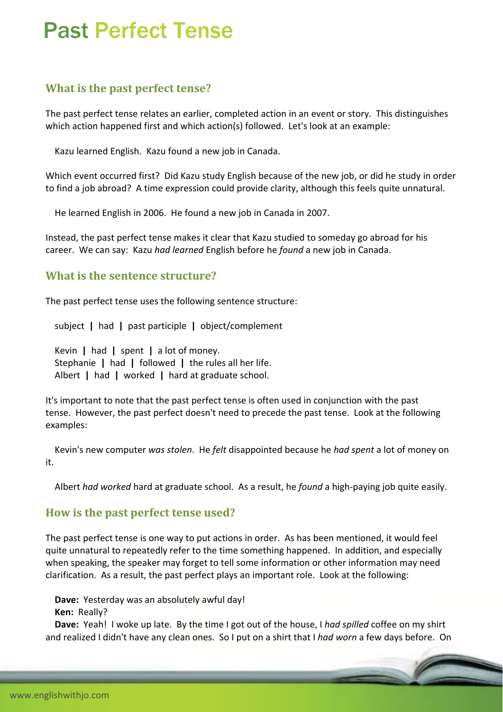# Past Perfect Tense

## **What is the past perfect tense?**

The past perfect tense relates an earlier, completed action in an event or story. This distinguishes which action happened first and which action(s) followed. Let's look at an example:

Kazu learned English. Kazu found a new job in Canada.

Which event occurred first? Did Kazu study English because of the new job, or did he study in order to find a job abroad? A time expression could provide clarity, although this feels quite unnatural.

He learned English in 2006. He found a new job in Canada in 2007.

Instead, the past perfect tense makes it clear that Kazu studied to someday go abroad for his career. We can say: Kazu *had learned* English before he *found* a new job in Canada.

#### **What is the sentence structure?**

The past perfect tense uses the following sentence structure:

subject **|** had **|** past participle **|** object/complement

 Kevin **|** had **|** spent **|** a lot of money. Stephanie **|** had **|** followed **|** the rules all her life. Albert **|** had **|** worked **|** hard at graduate school.

It's important to note that the past perfect tense is often used in conjunction with the past tense. However, the past perfect doesn't need to precede the past tense. Look at the following examples:

 Kevin's new computer *was stolen*. He *felt* disappointed because he *had spent* a lot of money on it.

Albert *had worked* hard at graduate school. As a result, he *found* a high‐paying job quite easily.

#### **How is the past perfect tense used?**

The past perfect tense is one way to put actions in order. As has been mentioned, it would feel quite unnatural to repeatedly refer to the time something happened. In addition, and especially when speaking, the speaker may forget to tell some information or other information may need clarification. As a result, the past perfect plays an important role. Look at the following:

 **Dave:** Yesterday was an absolutely awful day!

 **Ken:** Really?

 **Dave:** Yeah! I woke up late. By the time I got out of the house, I *had spilled* coffee on my shirt and realized I didn't have any clean ones. So I put on a shirt that I *had worn* a few days before. On